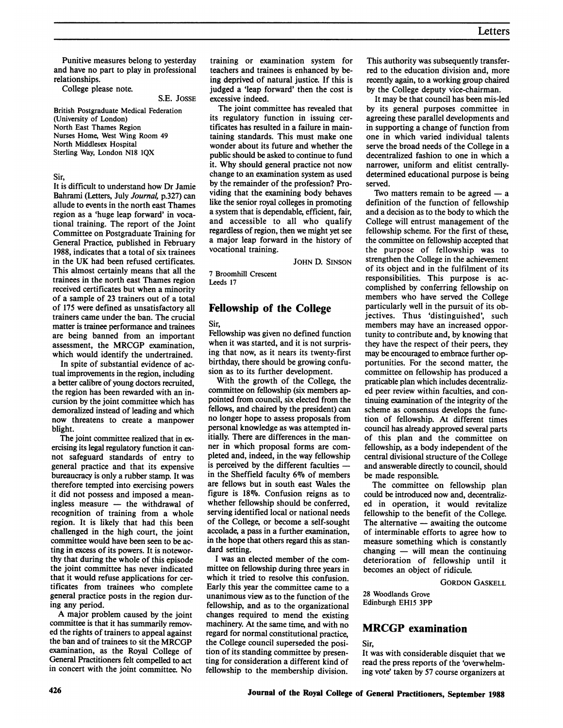Punitive measures belong to yesterday and have no part to play in professional relationships.

College please note.

S.E. JOSSE

British Postgraduate Medical Federation (University of London) North East Thames Region Nurses Home, West Wing Room 49 North Middlesex Hospital Sterling Way, London N18 IQX

Sir,

It is difficult to understand how Dr Jamie Bahrami (Letters, July Journal, p.327) can allude to events in the north east Thames region as a 'huge leap forward' in vocational training. The report of the Joint Committee on Postgraduate Training for General Practice, published in February 1988, indicates that a total of six trainees in the UK had been refused certificates. This almost certainly means that all the trainees in the north east Thames region received certificates but when a minority of a sample of 23 trainers out of a total of 175 were defined as unsatisfactory all trainers came under the ban. The crucial matter is trainee performance and trainees are being banned from an important assessment, the MRCGP examination, which would identify the undertrained.

In spite of substantial evidence of actual improvements in the region, including a better calibre of young doctors recruited, the region has been rewarded with an incursion by the joint committee which has demoralized instead of leading and which now threatens to create a manpower blight.

The joint committee realized that in exercising its legal regulatory function it cannot safeguard standards of entry to general practice and that its expensive bureaucracy is only a rubber stamp. It was therefore tempted into exercising powers it did not possess and imposed a meaningless measure  $-$  the withdrawal of recognition of training from a whole region. It is likely that had this been challenged in the high court, the joint committee would have been seen to be acting in excess of its powers. It is noteworthy that during the whole of this episode the joint committee has never indicated that it would refuse applications for certificates from trainees who complete general practice posts in the region during any period.

A major problem caused by the joint committee is that it has summarily removed the rights of trainers to appeal against the ban and of trainees to sit the MRCGP examination, as the Royal College of General Practitioners felt compelled to act in concert with the joint committee. No

training or examination system for teachers and trainees is enhanced by being deprived of natural justice. If this is judged a 'leap forward' then the cost is excessive indeed.

The joint committee has revealed that its regulatory function in issuing certificates has resulted in a failure in maintaining standards. This must make one wonder about its future and whether the public should be asked to continue to fund it. Why should general practice not now change to an examination system as used by the remainder of the profession? Providing that the examining body behaves like the senior royal colleges in promoting a system that is dependable, efficient, fair, and accessible to all who qualify regardless of region, then we might yet see a major leap forward in the history of vocational training.

JOHN D. SINSON

7 Broomhill Crescent Leeds 17

# Fellowship of the College

Sir,

Fellowship was given no defined function when it was started, and it is not surprising that now, as it nears its twenty-first birthday, there should be growing confusion as to its further development.

With the growth of the College, the committee on fellowship (six members appointed from council, six elected from the fellows, and chaired by the president) can no longer hope to assess proposals from personal knowledge as was attempted initially. There are differences in the manner in which proposal forms are completed and, indeed, in the way fellowship is perceived by the different faculties in the Sheffield faculty 6% of members are fellows but in south east Wales the figure is  $18\%$ . Confusion reigns as to whether fellowship should be conferred, serving identified local or national needs of the College, or become a self-sought accolade, a pass in a further examination, in the hope that others regard this as standard setting.

<sup>I</sup> was an elected member of the committee on fellowship during three years in which it tried to resolve this confusion. Early this year the committee came to a unanimous view as to the function of the fellowship, and as to the organizational changes required to mend the existing machinery. At the same time, and with no regard for normal constitutional practice, the College council superseded the position of its standing committee by presenting for consideration a different kind of fellowship to the membership division.

This authority was subsequently transferred to the education division and, more recently again, to a working group chaired by the College deputy vice-chairman.

It may be that council has been mis-led by its general purposes committee in agreeing these parallel developments and in supporting a change of function from one in which varied individual talents serve the broad needs of the College in a decentralized fashion to one in which a narrower, uniform and elitist centrallydetermined educational purpose is being served.

Two matters remain to be agreed  $- a$ definition of the function of fellowship and a decision as to the body to which the College will entrust management of the fellowship scheme. For the first of these, the committee on fellowship accepted that the purpose of fellowship was to strengthen the College in the achievement of its object and in the fulfilment of its responsibilities. This purpose is accomplished by conferring fellowship on members who have served the College particularly well in the pursuit of its objectives. Thus 'distinguished', such members may have an increased opportunity to contribute and, by knowing that they have the respect of their peers, they may be encouraged to embrace further opportunities. For the second matter, the committee on fellowship has produced a praticable plan which includes decentralized peer review within faculties, and continuing examination of the integrity of the scheme as consensus develops the function of fellowship. At different times council has already approved several parts of this plan and the committee on fellowship, as a body independent of the central divisional structure of the College and answerable directly to council, should be made responsible.

The committee on fellowship plan could be introduced now and, decentralized in operation, it would revitalize fellowship to the benefit of the College. The alternative  $-$  awaiting the outcome of interminable efforts to agree how to measure something which is constantly changing  $-$  will mean the continuing deterioration of fellowship until it becomes an object of ridicule.

GORDON GASKELL

28 Woodlands Grove Edinburgh EH15 3PP

### MRCGP examination

### Sir,

It was with considerable disquiet that we read the press reports of the 'overwhelming vote' taken by 57 course organizers at